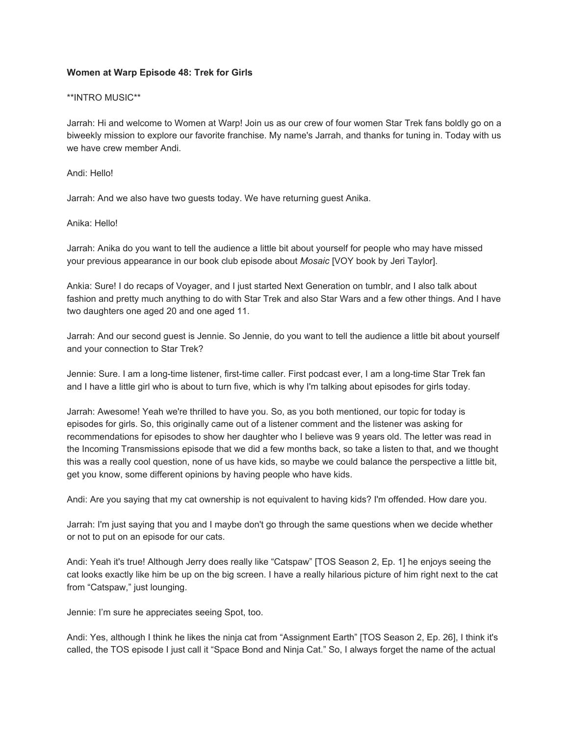# **Women at Warp Episode 48: Trek for Girls**

#### \*\*INTRO MUSIC\*\*

Jarrah: Hi and welcome to Women at Warp! Join us as our crew of four women Star Trek fans boldly go on a biweekly mission to explore our favorite franchise. My name's Jarrah, and thanks for tuning in. Today with us we have crew member Andi.

#### Andi: Hello!

Jarrah: And we also have two guests today. We have returning guest Anika.

## Anika: Hello!

Jarrah: Anika do you want to tell the audience a little bit about yourself for people who may have missed your previous appearance in our book club episode about *Mosaic* [VOY book by Jeri Taylor].

Ankia: Sure! I do recaps of Voyager, and I just started Next Generation on tumblr, and I also talk about fashion and pretty much anything to do with Star Trek and also Star Wars and a few other things. And I have two daughters one aged 20 and one aged 11.

Jarrah: And our second guest is Jennie. So Jennie, do you want to tell the audience a little bit about yourself and your connection to Star Trek?

Jennie: Sure. I am a long-time listener, first-time caller. First podcast ever, I am a long-time Star Trek fan and I have a little girl who is about to turn five, which is why I'm talking about episodes for girls today.

Jarrah: Awesome! Yeah we're thrilled to have you. So, as you both mentioned, our topic for today is episodes for girls. So, this originally came out of a listener comment and the listener was asking for recommendations for episodes to show her daughter who I believe was 9 years old. The letter was read in the Incoming Transmissions episode that we did a few months back, so take a listen to that, and we thought this was a really cool question, none of us have kids, so maybe we could balance the perspective a little bit, get you know, some different opinions by having people who have kids.

Andi: Are you saying that my cat ownership is not equivalent to having kids? I'm offended. How dare you.

Jarrah: I'm just saying that you and I maybe don't go through the same questions when we decide whether or not to put on an episode for our cats.

Andi: Yeah it's true! Although Jerry does really like "Catspaw" [TOS Season 2, Ep. 1] he enjoys seeing the cat looks exactly like him be up on the big screen. I have a really hilarious picture of him right next to the cat from "Catspaw," just lounging.

Jennie: I'm sure he appreciates seeing Spot, too.

Andi: Yes, although I think he likes the ninja cat from "Assignment Earth" [TOS Season 2, Ep. 26], I think it's called, the TOS episode I just call it "Space Bond and Ninja Cat." So, I always forget the name of the actual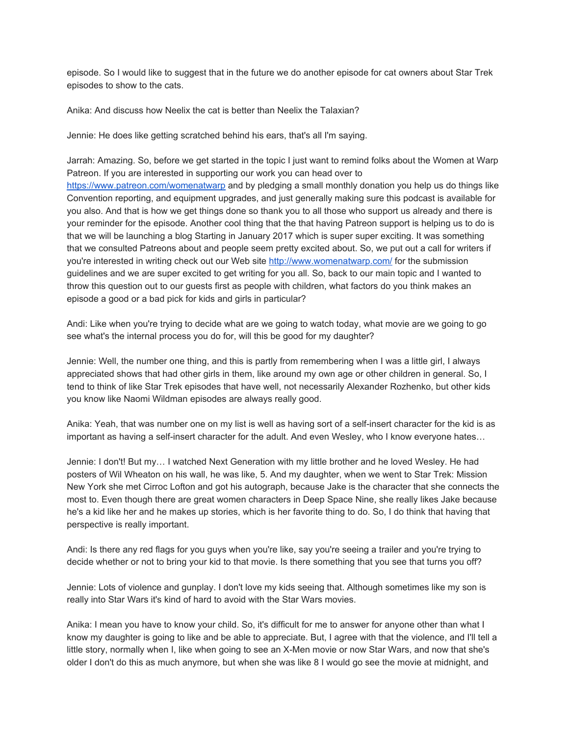episode. So I would like to suggest that in the future we do another episode for cat owners about Star Trek episodes to show to the cats.

Anika: And discuss how Neelix the cat is better than Neelix the Talaxian?

Jennie: He does like getting scratched behind his ears, that's all I'm saying.

Jarrah: Amazing. So, before we get started in the topic I just want to remind folks about the Women at Warp Patreon. If you are interested in supporting our work you can head over to <https://www.patreon.com/womenatwarp>and by pledging a small monthly donation you help us do things like Convention reporting, and equipment upgrades, and just generally making sure this podcast is available for you also. And that is how we get things done so thank you to all those who support us already and there is your reminder for the episode. Another cool thing that the that having Patreon support is helping us to do is that we will be launching a blog Starting in January 2017 which is super super exciting. It was something that we consulted Patreons about and people seem pretty excited about. So, we put out a call for writers if you're interested in writing check out our Web site <http://www.womenatwarp.com/>for the submission guidelines and we are super excited to get writing for you all. So, back to our main topic and I wanted to throw this question out to our guests first as people with children, what factors do you think makes an episode a good or a bad pick for kids and girls in particular?

Andi: Like when you're trying to decide what are we going to watch today, what movie are we going to go see what's the internal process you do for, will this be good for my daughter?

Jennie: Well, the number one thing, and this is partly from remembering when I was a little girl, I always appreciated shows that had other girls in them, like around my own age or other children in general. So, I tend to think of like Star Trek episodes that have well, not necessarily Alexander Rozhenko, but other kids you know like Naomi Wildman episodes are always really good.

Anika: Yeah, that was number one on my list is well as having sort of a self-insert character for the kid is as important as having a self-insert character for the adult. And even Wesley, who I know everyone hates…

Jennie: I don't! But my… I watched Next Generation with my little brother and he loved Wesley. He had posters of Wil Wheaton on his wall, he was like, 5. And my daughter, when we went to Star Trek: Mission New York she met Cirroc Lofton and got his autograph, because Jake is the character that she connects the most to. Even though there are great women characters in Deep Space Nine, she really likes Jake because he's a kid like her and he makes up stories, which is her favorite thing to do. So, I do think that having that perspective is really important.

Andi: Is there any red flags for you guys when you're like, say you're seeing a trailer and you're trying to decide whether or not to bring your kid to that movie. Is there something that you see that turns you off?

Jennie: Lots of violence and gunplay. I don't love my kids seeing that. Although sometimes like my son is really into Star Wars it's kind of hard to avoid with the Star Wars movies.

Anika: I mean you have to know your child. So, it's difficult for me to answer for anyone other than what I know my daughter is going to like and be able to appreciate. But, I agree with that the violence, and I'll tell a little story, normally when I, like when going to see an X-Men movie or now Star Wars, and now that she's older I don't do this as much anymore, but when she was like 8 I would go see the movie at midnight, and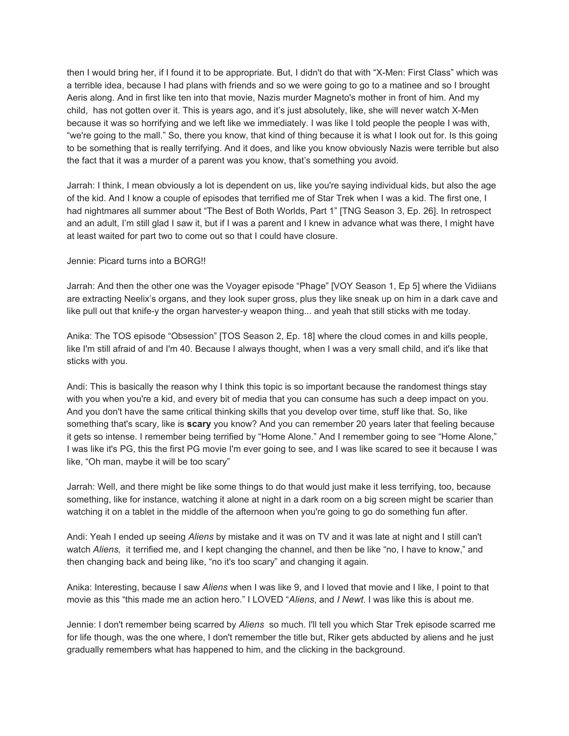then I would bring her, if I found it to be appropriate. But, I didn't do that with "X-Men: First Class" which was a terrible idea, because I had plans with friends and so we were going to go to a matinee and so I brought Aeris along. And in first like ten into that movie, Nazis murder Magneto's mother in front of him. And my child, has not gotten over it. This is years ago, and it's just absolutely, like, she will never watch X-Men because it was so horrifying and we left like we immediately. I was like I told people the people I was with, "we're going to the mall." So, there you know, that kind of thing because it is what I look out for. Is this going to be something that is really terrifying. And it does, and like you know obviously Nazis were terrible but also the fact that it was a murder of a parent was you know, that's something you avoid.

Jarrah: I think, I mean obviously a lot is dependent on us, like you're saying individual kids, but also the age of the kid. And I know a couple of episodes that terrified me of Star Trek when I was a kid. The first one, I had nightmares all summer about "The Best of Both Worlds, Part 1" [TNG Season 3, Ep. 26]. In retrospect and an adult, I'm still glad I saw it, but if I was a parent and I knew in advance what was there, I might have at least waited for part two to come out so that I could have closure.

## Jennie: Picard turns into a BORG!!

Jarrah: And then the other one was the Voyager episode "Phage" [VOY Season 1, Ep 5] where the Vidiians are extracting Neelix's organs, and they look super gross, plus they like sneak up on him in a dark cave and like pull out that knife-y the organ harvester-y weapon thing... and yeah that still sticks with me today.

Anika: The TOS episode "Obsession" [TOS Season 2, Ep. 18] where the cloud comes in and kills people, like I'm still afraid of and I'm 40. Because I always thought, when I was a very small child, and it's like that sticks with you.

Andi: This is basically the reason why I think this topic is so important because the randomest things stay with you when you're a kid, and every bit of media that you can consume has such a deep impact on you. And you don't have the same critical thinking skills that you develop over time, stuff like that. So, like something that's scary, like is **scary** you know? And you can remember 20 years later that feeling because it gets so intense. I remember being terrified by "Home Alone." And I remember going to see "Home Alone," I was like it's PG, this the first PG movie I'm ever going to see, and I was like scared to see it because I was like, "Oh man, maybe it will be too scary"

Jarrah: Well, and there might be like some things to do that would just make it less terrifying, too, because something, like for instance, watching it alone at night in a dark room on a big screen might be scarier than watching it on a tablet in the middle of the afternoon when you're going to go do something fun after.

Andi: Yeah I ended up seeing *Aliens* by mistake and it was on TV and it was late at night and I still can't watch *Aliens,* it terrified me, and I kept changing the channel, and then be like "no, I have to know," and then changing back and being like, "no it's too scary" and changing it again.

Anika: Interesting, because I saw *Aliens* when I was like 9, and I loved that movie and I like, I point to that movie as this "this made me an action hero." I LOVED "*Aliens*, and *I Newt*. I was like this is about me.

Jennie: I don't remember being scarred by *Aliens* so much. I'll tell you which Star Trek episode scarred me for life though, was the one where, I don't remember the title but, Riker gets abducted by aliens and he just gradually remembers what has happened to him, and the clicking in the background.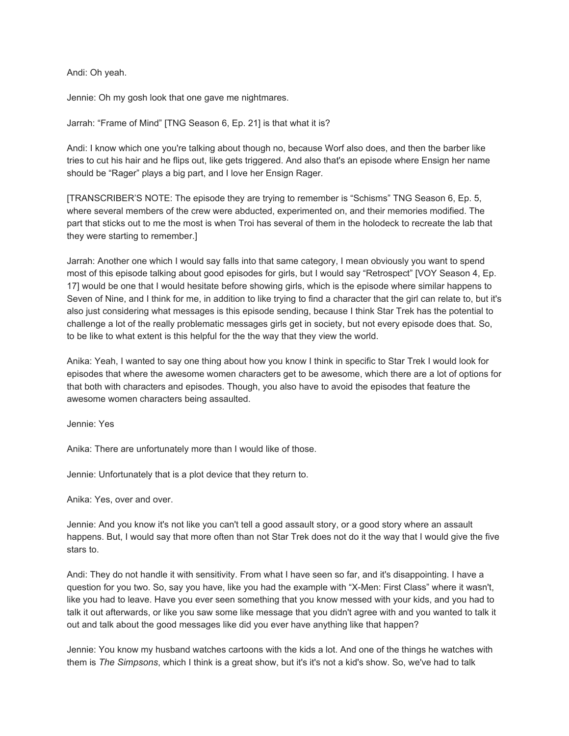Andi: Oh yeah.

Jennie: Oh my gosh look that one gave me nightmares.

Jarrah: "Frame of Mind" [TNG Season 6, Ep. 21] is that what it is?

Andi: I know which one you're talking about though no, because Worf also does, and then the barber like tries to cut his hair and he flips out, like gets triggered. And also that's an episode where Ensign her name should be "Rager" plays a big part, and I love her Ensign Rager.

[TRANSCRIBER'S NOTE: The episode they are trying to remember is "Schisms" TNG Season 6, Ep. 5, where several members of the crew were abducted, experimented on, and their memories modified. The part that sticks out to me the most is when Troi has several of them in the holodeck to recreate the lab that they were starting to remember.]

Jarrah: Another one which I would say falls into that same category, I mean obviously you want to spend most of this episode talking about good episodes for girls, but I would say "Retrospect" [VOY Season 4, Ep. 17] would be one that I would hesitate before showing girls, which is the episode where similar happens to Seven of Nine, and I think for me, in addition to like trying to find a character that the girl can relate to, but it's also just considering what messages is this episode sending, because I think Star Trek has the potential to challenge a lot of the really problematic messages girls get in society, but not every episode does that. So, to be like to what extent is this helpful for the the way that they view the world.

Anika: Yeah, I wanted to say one thing about how you know I think in specific to Star Trek I would look for episodes that where the awesome women characters get to be awesome, which there are a lot of options for that both with characters and episodes. Though, you also have to avoid the episodes that feature the awesome women characters being assaulted.

Jennie: Yes

Anika: There are unfortunately more than I would like of those.

Jennie: Unfortunately that is a plot device that they return to.

Anika: Yes, over and over.

Jennie: And you know it's not like you can't tell a good assault story, or a good story where an assault happens. But, I would say that more often than not Star Trek does not do it the way that I would give the five stars to.

Andi: They do not handle it with sensitivity. From what I have seen so far, and it's disappointing. I have a question for you two. So, say you have, like you had the example with "X-Men: First Class" where it wasn't, like you had to leave. Have you ever seen something that you know messed with your kids, and you had to talk it out afterwards, or like you saw some like message that you didn't agree with and you wanted to talk it out and talk about the good messages like did you ever have anything like that happen?

Jennie: You know my husband watches cartoons with the kids a lot. And one of the things he watches with them is *The Simpsons*, which I think is a great show, but it's it's not a kid's show. So, we've had to talk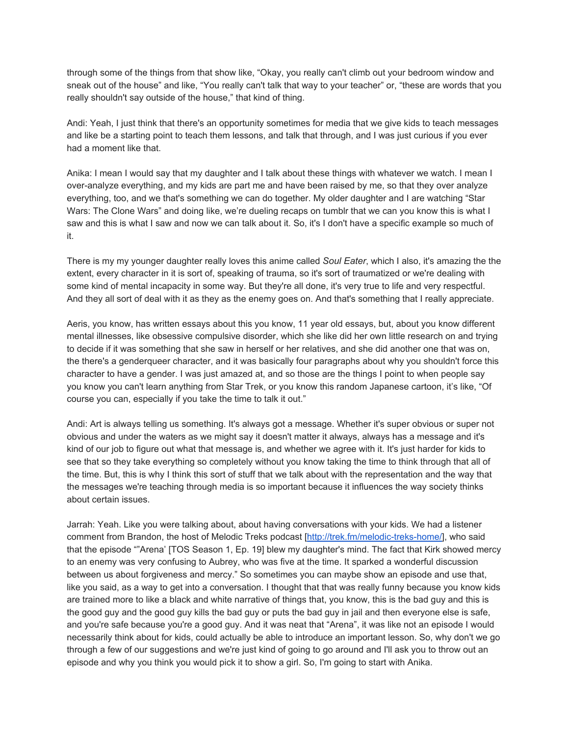through some of the things from that show like, "Okay, you really can't climb out your bedroom window and sneak out of the house" and like, "You really can't talk that way to your teacher" or, "these are words that you really shouldn't say outside of the house," that kind of thing.

Andi: Yeah, I just think that there's an opportunity sometimes for media that we give kids to teach messages and like be a starting point to teach them lessons, and talk that through, and I was just curious if you ever had a moment like that.

Anika: I mean I would say that my daughter and I talk about these things with whatever we watch. I mean I over-analyze everything, and my kids are part me and have been raised by me, so that they over analyze everything, too, and we that's something we can do together. My older daughter and I are watching "Star Wars: The Clone Wars" and doing like, we're dueling recaps on tumblr that we can you know this is what I saw and this is what I saw and now we can talk about it. So, it's I don't have a specific example so much of it.

There is my my younger daughter really loves this anime called *Soul Eater*, which I also, it's amazing the the extent, every character in it is sort of, speaking of trauma, so it's sort of traumatized or we're dealing with some kind of mental incapacity in some way. But they're all done, it's very true to life and very respectful. And they all sort of deal with it as they as the enemy goes on. And that's something that I really appreciate.

Aeris, you know, has written essays about this you know, 11 year old essays, but, about you know different mental illnesses, like obsessive compulsive disorder, which she like did her own little research on and trying to decide if it was something that she saw in herself or her relatives, and she did another one that was on, the there's a genderqueer character, and it was basically four paragraphs about why you shouldn't force this character to have a gender. I was just amazed at, and so those are the things I point to when people say you know you can't learn anything from Star Trek, or you know this random Japanese cartoon, it's like, "Of course you can, especially if you take the time to talk it out."

Andi: Art is always telling us something. It's always got a message. Whether it's super obvious or super not obvious and under the waters as we might say it doesn't matter it always, always has a message and it's kind of our job to figure out what that message is, and whether we agree with it. It's just harder for kids to see that so they take everything so completely without you know taking the time to think through that all of the time. But, this is why I think this sort of stuff that we talk about with the representation and the way that the messages we're teaching through media is so important because it influences the way society thinks about certain issues.

Jarrah: Yeah. Like you were talking about, about having conversations with your kids. We had a listener comment from Brandon, the host of Melodic Treks podcast [\[http://trek.fm/melodic-treks-home/\]](http://trek.fm/melodic-treks-home/), who said that the episode ""Arena' [TOS Season 1, Ep. 19] blew my daughter's mind. The fact that Kirk showed mercy to an enemy was very confusing to Aubrey, who was five at the time. It sparked a wonderful discussion between us about forgiveness and mercy." So sometimes you can maybe show an episode and use that, like you said, as a way to get into a conversation. I thought that that was really funny because you know kids are trained more to like a black and white narrative of things that, you know, this is the bad guy and this is the good guy and the good guy kills the bad guy or puts the bad guy in jail and then everyone else is safe, and you're safe because you're a good guy. And it was neat that "Arena", it was like not an episode I would necessarily think about for kids, could actually be able to introduce an important lesson. So, why don't we go through a few of our suggestions and we're just kind of going to go around and I'll ask you to throw out an episode and why you think you would pick it to show a girl. So, I'm going to start with Anika.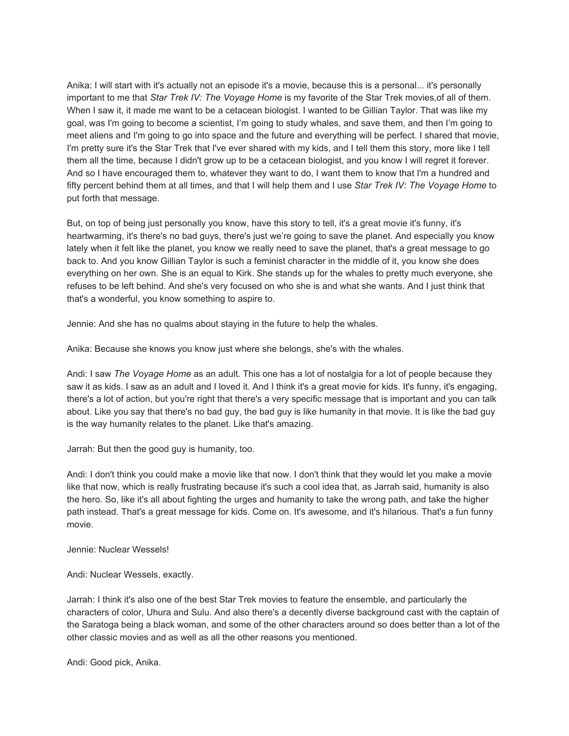Anika: I will start with it's actually not an episode it's a movie, because this is a personal... it's personally important to me that *Star Trek IV: The Voyage Home* is my favorite of the Star Trek movies,of all of them. When I saw it, it made me want to be a cetacean biologist. I wanted to be Gillian Taylor. That was like my goal, was I'm going to become a scientist, I'm going to study whales, and save them, and then I'm going to meet aliens and I'm going to go into space and the future and everything will be perfect. I shared that movie, I'm pretty sure it's the Star Trek that I've ever shared with my kids, and I tell them this story, more like I tell them all the time, because I didn't grow up to be a cetacean biologist, and you know I will regret it forever. And so I have encouraged them to, whatever they want to do, I want them to know that I'm a hundred and fifty percent behind them at all times, and that I will help them and I use *Star Trek IV: The Voyage Home* to put forth that message.

But, on top of being just personally you know, have this story to tell, it's a great movie it's funny, it's heartwarming, it's there's no bad guys, there's just we're going to save the planet. And especially you know lately when it felt like the planet, you know we really need to save the planet, that's a great message to go back to. And you know Gillian Taylor is such a feminist character in the middle of it, you know she does everything on her own. She is an equal to Kirk. She stands up for the whales to pretty much everyone, she refuses to be left behind. And she's very focused on who she is and what she wants. And I just think that that's a wonderful, you know something to aspire to.

Jennie: And she has no qualms about staying in the future to help the whales.

Anika: Because she knows you know just where she belongs, she's with the whales.

Andi: I saw *The Voyage Home* as an adult. This one has a lot of nostalgia for a lot of people because they saw it as kids. I saw as an adult and I loved it. And I think it's a great movie for kids. It's funny, it's engaging, there's a lot of action, but you're right that there's a very specific message that is important and you can talk about. Like you say that there's no bad guy, the bad guy is like humanity in that movie. It is like the bad guy is the way humanity relates to the planet. Like that's amazing.

Jarrah: But then the good guy is humanity, too.

Andi: I don't think you could make a movie like that now. I don't think that they would let you make a movie like that now, which is really frustrating because it's such a cool idea that, as Jarrah said, humanity is also the hero. So, like it's all about fighting the urges and humanity to take the wrong path, and take the higher path instead. That's a great message for kids. Come on. It's awesome, and it's hilarious. That's a fun funny movie.

Jennie: Nuclear Wessels!

Andi: Nuclear Wessels, exactly.

Jarrah: I think it's also one of the best Star Trek movies to feature the ensemble, and particularly the characters of color, Uhura and Sulu. And also there's a decently diverse background cast with the captain of the Saratoga being a black woman, and some of the other characters around so does better than a lot of the other classic movies and as well as all the other reasons you mentioned.

Andi: Good pick, Anika.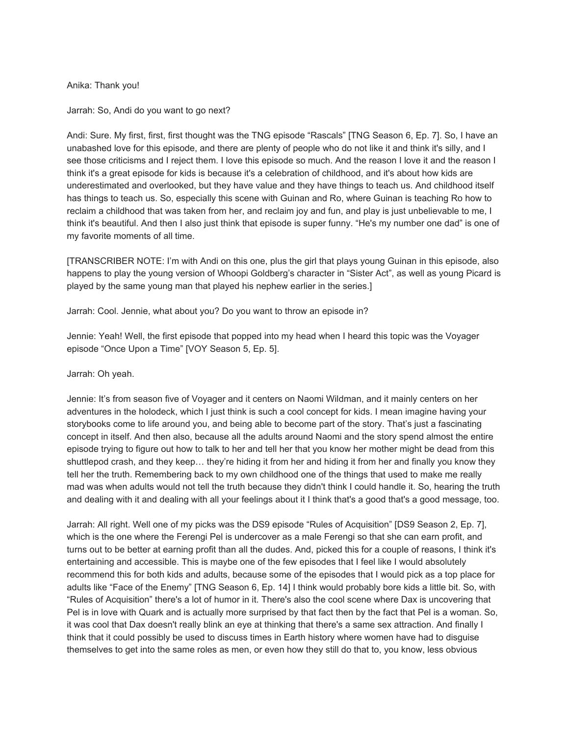## Anika: Thank you!

Jarrah: So, Andi do you want to go next?

Andi: Sure. My first, first, first thought was the TNG episode "Rascals" [TNG Season 6, Ep. 7]. So, I have an unabashed love for this episode, and there are plenty of people who do not like it and think it's silly, and I see those criticisms and I reject them. I love this episode so much. And the reason I love it and the reason I think it's a great episode for kids is because it's a celebration of childhood, and it's about how kids are underestimated and overlooked, but they have value and they have things to teach us. And childhood itself has things to teach us. So, especially this scene with Guinan and Ro, where Guinan is teaching Ro how to reclaim a childhood that was taken from her, and reclaim joy and fun, and play is just unbelievable to me, I think it's beautiful. And then I also just think that episode is super funny. "He's my number one dad" is one of my favorite moments of all time.

[TRANSCRIBER NOTE: I'm with Andi on this one, plus the girl that plays young Guinan in this episode, also happens to play the young version of Whoopi Goldberg's character in "Sister Act", as well as young Picard is played by the same young man that played his nephew earlier in the series.]

Jarrah: Cool. Jennie, what about you? Do you want to throw an episode in?

Jennie: Yeah! Well, the first episode that popped into my head when I heard this topic was the Voyager episode "Once Upon a Time" [VOY Season 5, Ep. 5].

Jarrah: Oh yeah.

Jennie: It's from season five of Voyager and it centers on Naomi Wildman, and it mainly centers on her adventures in the holodeck, which I just think is such a cool concept for kids. I mean imagine having your storybooks come to life around you, and being able to become part of the story. That's just a fascinating concept in itself. And then also, because all the adults around Naomi and the story spend almost the entire episode trying to figure out how to talk to her and tell her that you know her mother might be dead from this shuttlepod crash, and they keep… they're hiding it from her and hiding it from her and finally you know they tell her the truth. Remembering back to my own childhood one of the things that used to make me really mad was when adults would not tell the truth because they didn't think I could handle it. So, hearing the truth and dealing with it and dealing with all your feelings about it I think that's a good that's a good message, too.

Jarrah: All right. Well one of my picks was the DS9 episode "Rules of Acquisition" [DS9 Season 2, Ep. 7], which is the one where the Ferengi Pel is undercover as a male Ferengi so that she can earn profit, and turns out to be better at earning profit than all the dudes. And, picked this for a couple of reasons, I think it's entertaining and accessible. This is maybe one of the few episodes that I feel like I would absolutely recommend this for both kids and adults, because some of the episodes that I would pick as a top place for adults like "Face of the Enemy" [TNG Season 6, Ep. 14] I think would probably bore kids a little bit. So, with "Rules of Acquisition" there's a lot of humor in it. There's also the cool scene where Dax is uncovering that Pel is in love with Quark and is actually more surprised by that fact then by the fact that Pel is a woman. So, it was cool that Dax doesn't really blink an eye at thinking that there's a same sex attraction. And finally I think that it could possibly be used to discuss times in Earth history where women have had to disguise themselves to get into the same roles as men, or even how they still do that to, you know, less obvious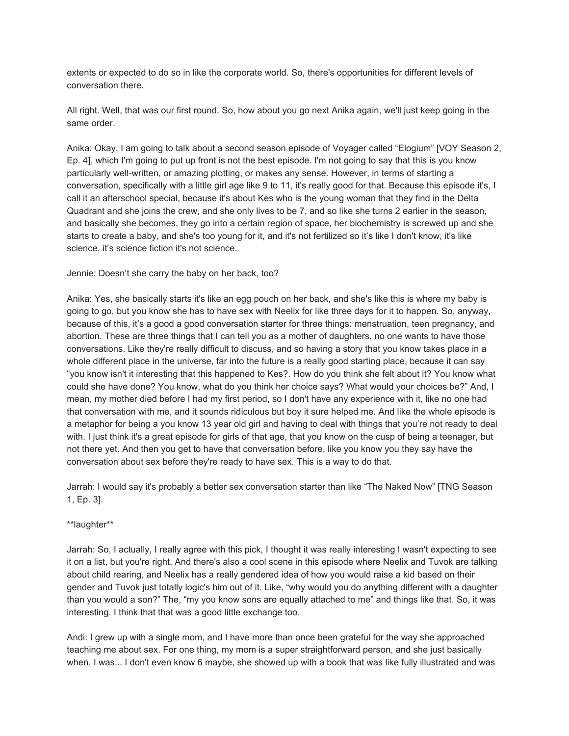extents or expected to do so in like the corporate world. So, there's opportunities for different levels of conversation there.

All right. Well, that was our first round. So, how about you go next Anika again, we'll just keep going in the same order.

Anika: Okay, I am going to talk about a second season episode of Voyager called "Elogium" [VOY Season 2, Ep. 4], which I'm going to put up front is not the best episode. I'm not going to say that this is you know particularly well-written, or amazing plotting, or makes any sense. However, in terms of starting a conversation, specifically with a little girl age like 9 to 11, it's really good for that. Because this episode it's, I call it an afterschool special, because it's about Kes who is the young woman that they find in the Delta Quadrant and she joins the crew, and she only lives to be 7, and so like she turns 2 earlier in the season, and basically she becomes, they go into a certain region of space, her biochemistry is screwed up and she starts to create a baby, and she's too young for it, and it's not fertilized so it's like I don't know, it's like science, it's science fiction it's not science.

Jennie: Doesn't she carry the baby on her back, too?

Anika: Yes, she basically starts it's like an egg pouch on her back, and she's like this is where my baby is going to go, but you know she has to have sex with Neelix for like three days for it to happen. So, anyway, because of this, it's a good a good conversation starter for three things: menstruation, teen pregnancy, and abortion. These are three things that I can tell you as a mother of daughters, no one wants to have those conversations. Like they're really difficult to discuss, and so having a story that you know takes place in a whole different place in the universe, far into the future is a really good starting place, because it can say "you know isn't it interesting that this happened to Kes?. How do you think she felt about it? You know what could she have done? You know, what do you think her choice says? What would your choices be?" And, I mean, my mother died before I had my first period, so I don't have any experience with it, like no one had that conversation with me, and it sounds ridiculous but boy it sure helped me. And like the whole episode is a metaphor for being a you know 13 year old girl and having to deal with things that you're not ready to deal with. I just think it's a great episode for girls of that age, that you know on the cusp of being a teenager, but not there yet. And then you get to have that conversation before, like you know you they say have the conversation about sex before they're ready to have sex. This is a way to do that.

Jarrah: I would say it's probably a better sex conversation starter than like "The Naked Now" [TNG Season 1, Ep. 3].

## \*\*laughter\*\*

Jarrah: So, I actually, I really agree with this pick, I thought it was really interesting I wasn't expecting to see it on a list, but you're right. And there's also a cool scene in this episode where Neelix and Tuvok are talking about child rearing, and Neelix has a really gendered idea of how you would raise a kid based on their gender and Tuvok just totally logic's him out of it. Like, "why would you do anything different with a daughter than you would a son?" The, "my you know sons are equally attached to me" and things like that. So, it was interesting. I think that that was a good little exchange too.

Andi: I grew up with a single mom, and I have more than once been grateful for the way she approached teaching me about sex. For one thing, my mom is a super straightforward person, and she just basically when, I was... I don't even know 6 maybe, she showed up with a book that was like fully illustrated and was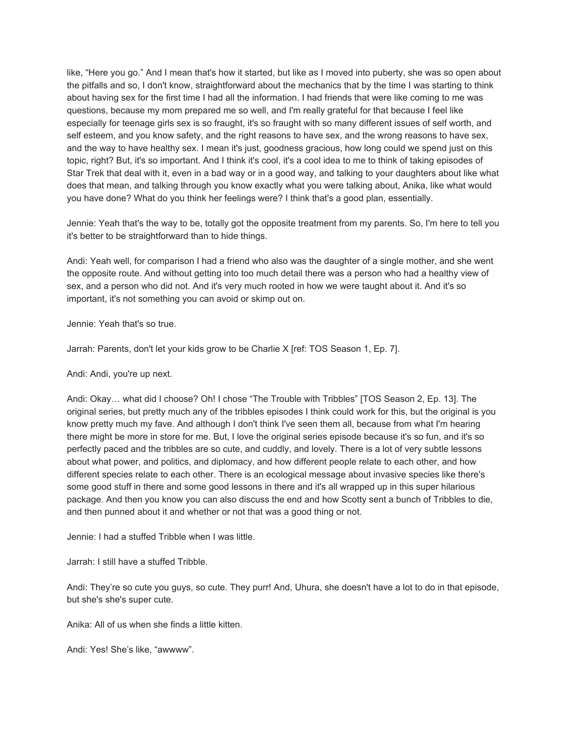like, "Here you go." And I mean that's how it started, but like as I moved into puberty, she was so open about the pitfalls and so, I don't know, straightforward about the mechanics that by the time I was starting to think about having sex for the first time I had all the information. I had friends that were like coming to me was questions, because my mom prepared me so well, and I'm really grateful for that because I feel like especially for teenage girls sex is so fraught, it's so fraught with so many different issues of self worth, and self esteem, and you know safety, and the right reasons to have sex, and the wrong reasons to have sex, and the way to have healthy sex. I mean it's just, goodness gracious, how long could we spend just on this topic, right? But, it's so important. And I think it's cool, it's a cool idea to me to think of taking episodes of Star Trek that deal with it, even in a bad way or in a good way, and talking to your daughters about like what does that mean, and talking through you know exactly what you were talking about, Anika, like what would you have done? What do you think her feelings were? I think that's a good plan, essentially.

Jennie: Yeah that's the way to be, totally got the opposite treatment from my parents. So, I'm here to tell you it's better to be straightforward than to hide things.

Andi: Yeah well, for comparison I had a friend who also was the daughter of a single mother, and she went the opposite route. And without getting into too much detail there was a person who had a healthy view of sex, and a person who did not. And it's very much rooted in how we were taught about it. And it's so important, it's not something you can avoid or skimp out on.

Jennie: Yeah that's so true.

Jarrah: Parents, don't let your kids grow to be Charlie X [ref: TOS Season 1, Ep. 7].

#### Andi: Andi, you're up next.

Andi: Okay… what did I choose? Oh! I chose "The Trouble with Tribbles" [TOS Season 2, Ep. 13]. The original series, but pretty much any of the tribbles episodes I think could work for this, but the original is you know pretty much my fave. And although I don't think I've seen them all, because from what I'm hearing there might be more in store for me. But, I love the original series episode because it's so fun, and it's so perfectly paced and the tribbles are so cute, and cuddly, and lovely. There is a lot of very subtle lessons about what power, and politics, and diplomacy, and how different people relate to each other, and how different species relate to each other. There is an ecological message about invasive species like there's some good stuff in there and some good lessons in there and it's all wrapped up in this super hilarious package. And then you know you can also discuss the end and how Scotty sent a bunch of Tribbles to die, and then punned about it and whether or not that was a good thing or not.

Jennie: I had a stuffed Tribble when I was little.

Jarrah: I still have a stuffed Tribble.

Andi: They're so cute you guys, so cute. They purr! And, Uhura, she doesn't have a lot to do in that episode, but she's she's super cute.

Anika: All of us when she finds a little kitten.

Andi: Yes! She's like, "awwww".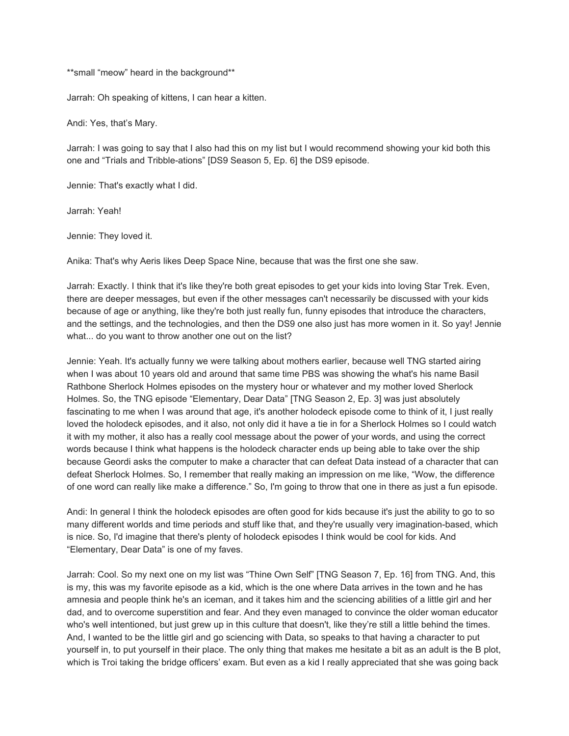\*\*small "meow" heard in the background\*\*

Jarrah: Oh speaking of kittens, I can hear a kitten.

Andi: Yes, that's Mary.

Jarrah: I was going to say that I also had this on my list but I would recommend showing your kid both this one and "Trials and Tribble-ations" [DS9 Season 5, Ep. 6] the DS9 episode.

Jennie: That's exactly what I did.

Jarrah: Yeah!

Jennie: They loved it.

Anika: That's why Aeris likes Deep Space Nine, because that was the first one she saw.

Jarrah: Exactly. I think that it's like they're both great episodes to get your kids into loving Star Trek. Even, there are deeper messages, but even if the other messages can't necessarily be discussed with your kids because of age or anything, like they're both just really fun, funny episodes that introduce the characters, and the settings, and the technologies, and then the DS9 one also just has more women in it. So yay! Jennie what... do you want to throw another one out on the list?

Jennie: Yeah. It's actually funny we were talking about mothers earlier, because well TNG started airing when I was about 10 years old and around that same time PBS was showing the what's his name Basil Rathbone Sherlock Holmes episodes on the mystery hour or whatever and my mother loved Sherlock Holmes. So, the TNG episode "Elementary, Dear Data" [TNG Season 2, Ep. 3] was just absolutely fascinating to me when I was around that age, it's another holodeck episode come to think of it, I just really loved the holodeck episodes, and it also, not only did it have a tie in for a Sherlock Holmes so I could watch it with my mother, it also has a really cool message about the power of your words, and using the correct words because I think what happens is the holodeck character ends up being able to take over the ship because Geordi asks the computer to make a character that can defeat Data instead of a character that can defeat Sherlock Holmes. So, I remember that really making an impression on me like, "Wow, the difference of one word can really like make a difference." So, I'm going to throw that one in there as just a fun episode.

Andi: In general I think the holodeck episodes are often good for kids because it's just the ability to go to so many different worlds and time periods and stuff like that, and they're usually very imagination-based, which is nice. So, I'd imagine that there's plenty of holodeck episodes I think would be cool for kids. And "Elementary, Dear Data" is one of my faves.

Jarrah: Cool. So my next one on my list was "Thine Own Self" [TNG Season 7, Ep. 16] from TNG. And, this is my, this was my favorite episode as a kid, which is the one where Data arrives in the town and he has amnesia and people think he's an iceman, and it takes him and the sciencing abilities of a little girl and her dad, and to overcome superstition and fear. And they even managed to convince the older woman educator who's well intentioned, but just grew up in this culture that doesn't, like they're still a little behind the times. And, I wanted to be the little girl and go sciencing with Data, so speaks to that having a character to put yourself in, to put yourself in their place. The only thing that makes me hesitate a bit as an adult is the B plot, which is Troi taking the bridge officers' exam. But even as a kid I really appreciated that she was going back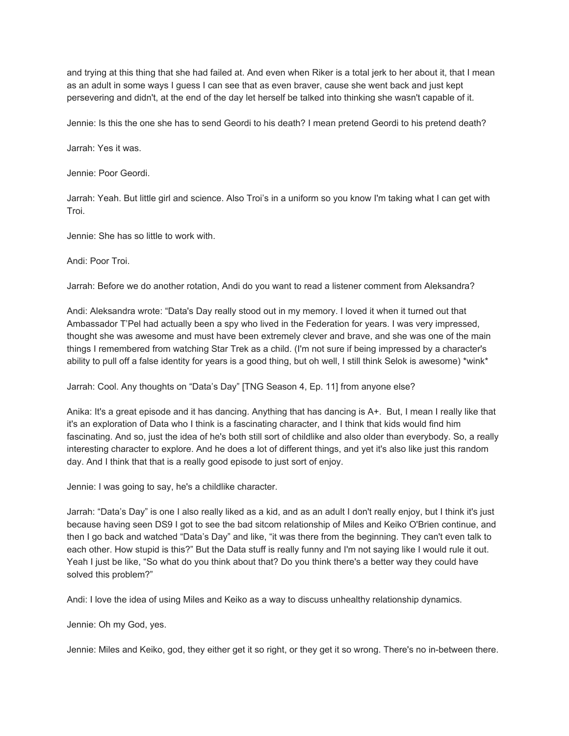and trying at this thing that she had failed at. And even when Riker is a total jerk to her about it, that I mean as an adult in some ways I guess I can see that as even braver, cause she went back and just kept persevering and didn't, at the end of the day let herself be talked into thinking she wasn't capable of it.

Jennie: Is this the one she has to send Geordi to his death? I mean pretend Geordi to his pretend death?

Jarrah: Yes it was.

Jennie: Poor Geordi.

Jarrah: Yeah. But little girl and science. Also Troi's in a uniform so you know I'm taking what I can get with Troi.

Jennie: She has so little to work with.

Andi: Poor Troi.

Jarrah: Before we do another rotation, Andi do you want to read a listener comment from Aleksandra?

Andi: Aleksandra wrote: "Data's Day really stood out in my memory. I loved it when it turned out that Ambassador T'Pel had actually been a spy who lived in the Federation for years. I was very impressed, thought she was awesome and must have been extremely clever and brave, and she was one of the main things I remembered from watching Star Trek as a child. (I'm not sure if being impressed by a character's ability to pull off a false identity for years is a good thing, but oh well, I still think Selok is awesome) \*wink\*

Jarrah: Cool. Any thoughts on "Data's Day" [TNG Season 4, Ep. 11] from anyone else?

Anika: It's a great episode and it has dancing. Anything that has dancing is A+. But, I mean I really like that it's an exploration of Data who I think is a fascinating character, and I think that kids would find him fascinating. And so, just the idea of he's both still sort of childlike and also older than everybody. So, a really interesting character to explore. And he does a lot of different things, and yet it's also like just this random day. And I think that that is a really good episode to just sort of enjoy.

Jennie: I was going to say, he's a childlike character.

Jarrah: "Data's Day" is one I also really liked as a kid, and as an adult I don't really enjoy, but I think it's just because having seen DS9 I got to see the bad sitcom relationship of Miles and Keiko O'Brien continue, and then I go back and watched "Data's Day" and like, "it was there from the beginning. They can't even talk to each other. How stupid is this?" But the Data stuff is really funny and I'm not saying like I would rule it out. Yeah I just be like, "So what do you think about that? Do you think there's a better way they could have solved this problem?"

Andi: I love the idea of using Miles and Keiko as a way to discuss unhealthy relationship dynamics.

Jennie: Oh my God, yes.

Jennie: Miles and Keiko, god, they either get it so right, or they get it so wrong. There's no in-between there.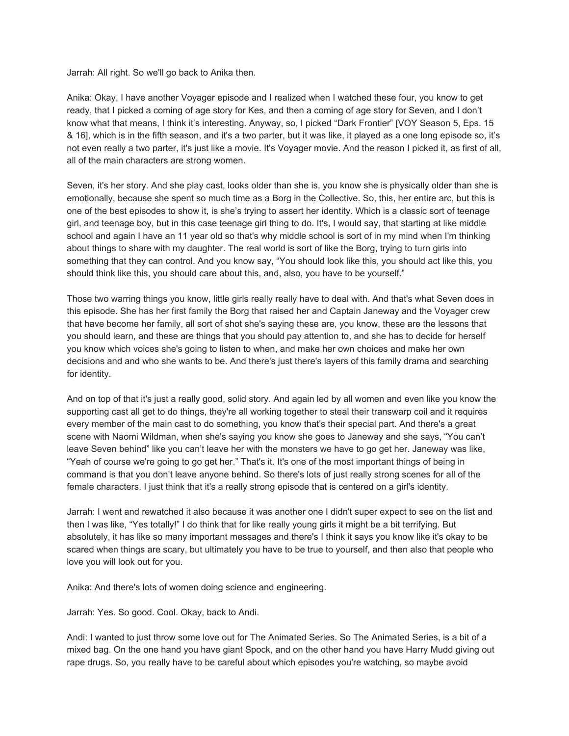Jarrah: All right. So we'll go back to Anika then.

Anika: Okay, I have another Voyager episode and I realized when I watched these four, you know to get ready, that I picked a coming of age story for Kes, and then a coming of age story for Seven, and I don't know what that means, I think it's interesting. Anyway, so, I picked "Dark Frontier" [VOY Season 5, Eps. 15 & 16], which is in the fifth season, and it's a two parter, but it was like, it played as a one long episode so, it's not even really a two parter, it's just like a movie. It's Voyager movie. And the reason I picked it, as first of all, all of the main characters are strong women.

Seven, it's her story. And she play cast, looks older than she is, you know she is physically older than she is emotionally, because she spent so much time as a Borg in the Collective. So, this, her entire arc, but this is one of the best episodes to show it, is she's trying to assert her identity. Which is a classic sort of teenage girl, and teenage boy, but in this case teenage girl thing to do. It's, I would say, that starting at like middle school and again I have an 11 year old so that's why middle school is sort of in my mind when I'm thinking about things to share with my daughter. The real world is sort of like the Borg, trying to turn girls into something that they can control. And you know say, "You should look like this, you should act like this, you should think like this, you should care about this, and, also, you have to be yourself."

Those two warring things you know, little girls really really have to deal with. And that's what Seven does in this episode. She has her first family the Borg that raised her and Captain Janeway and the Voyager crew that have become her family, all sort of shot she's saying these are, you know, these are the lessons that you should learn, and these are things that you should pay attention to, and she has to decide for herself you know which voices she's going to listen to when, and make her own choices and make her own decisions and and who she wants to be. And there's just there's layers of this family drama and searching for identity.

And on top of that it's just a really good, solid story. And again led by all women and even like you know the supporting cast all get to do things, they're all working together to steal their transwarp coil and it requires every member of the main cast to do something, you know that's their special part. And there's a great scene with Naomi Wildman, when she's saying you know she goes to Janeway and she says, "You can't leave Seven behind" like you can't leave her with the monsters we have to go get her. Janeway was like, "Yeah of course we're going to go get her." That's it. It's one of the most important things of being in command is that you don't leave anyone behind. So there's lots of just really strong scenes for all of the female characters. I just think that it's a really strong episode that is centered on a girl's identity.

Jarrah: I went and rewatched it also because it was another one I didn't super expect to see on the list and then I was like, "Yes totally!" I do think that for like really young girls it might be a bit terrifying. But absolutely, it has like so many important messages and there's I think it says you know like it's okay to be scared when things are scary, but ultimately you have to be true to yourself, and then also that people who love you will look out for you.

Anika: And there's lots of women doing science and engineering.

Jarrah: Yes. So good. Cool. Okay, back to Andi.

Andi: I wanted to just throw some love out for The Animated Series. So The Animated Series, is a bit of a mixed bag. On the one hand you have giant Spock, and on the other hand you have Harry Mudd giving out rape drugs. So, you really have to be careful about which episodes you're watching, so maybe avoid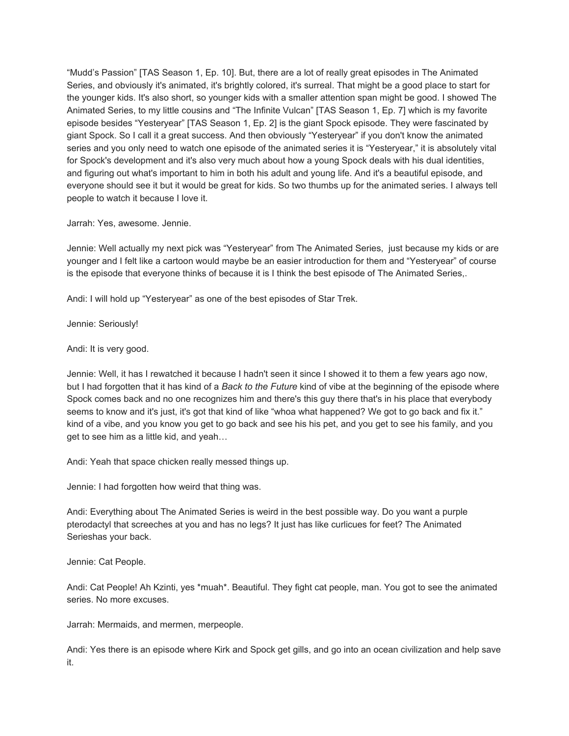"Mudd's Passion" [TAS Season 1, Ep. 10]. But, there are a lot of really great episodes in The Animated Series, and obviously it's animated, it's brightly colored, it's surreal. That might be a good place to start for the younger kids. It's also short, so younger kids with a smaller attention span might be good. I showed The Animated Series, to my little cousins and "The Infinite Vulcan" [TAS Season 1, Ep. 7] which is my favorite episode besides "Yesteryear" [TAS Season 1, Ep. 2] is the giant Spock episode. They were fascinated by giant Spock. So I call it a great success. And then obviously "Yesteryear" if you don't know the animated series and you only need to watch one episode of the animated series it is "Yesteryear," it is absolutely vital for Spock's development and it's also very much about how a young Spock deals with his dual identities, and figuring out what's important to him in both his adult and young life. And it's a beautiful episode, and everyone should see it but it would be great for kids. So two thumbs up for the animated series. I always tell people to watch it because I love it.

## Jarrah: Yes, awesome. Jennie.

Jennie: Well actually my next pick was "Yesteryear" from The Animated Series, just because my kids or are younger and I felt like a cartoon would maybe be an easier introduction for them and "Yesteryear" of course is the episode that everyone thinks of because it is I think the best episode of The Animated Series,.

Andi: I will hold up "Yesteryear" as one of the best episodes of Star Trek.

Jennie: Seriously!

Andi: It is very good.

Jennie: Well, it has I rewatched it because I hadn't seen it since I showed it to them a few years ago now, but I had forgotten that it has kind of a *Back to the Future* kind of vibe at the beginning of the episode where Spock comes back and no one recognizes him and there's this guy there that's in his place that everybody seems to know and it's just, it's got that kind of like "whoa what happened? We got to go back and fix it." kind of a vibe, and you know you get to go back and see his his pet, and you get to see his family, and you get to see him as a little kid, and yeah…

Andi: Yeah that space chicken really messed things up.

Jennie: I had forgotten how weird that thing was.

Andi: Everything about The Animated Series is weird in the best possible way. Do you want a purple pterodactyl that screeches at you and has no legs? It just has like curlicues for feet? The Animated Serieshas your back.

Jennie: Cat People.

Andi: Cat People! Ah Kzinti, yes \*muah\*. Beautiful. They fight cat people, man. You got to see the animated series. No more excuses.

Jarrah: Mermaids, and mermen, merpeople.

Andi: Yes there is an episode where Kirk and Spock get gills, and go into an ocean civilization and help save it.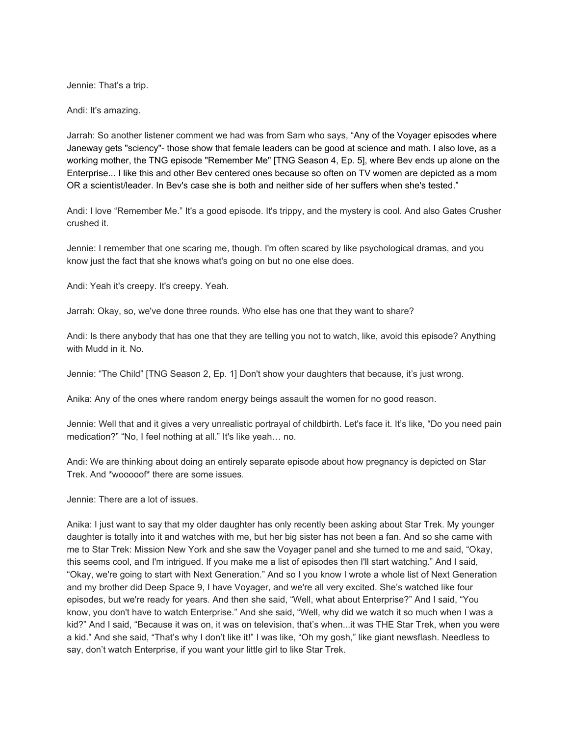Jennie: That's a trip.

Andi: It's amazing.

Jarrah: So another listener comment we had was from Sam who says, "Any of the Voyager episodes where Janeway gets "sciency"- those show that female leaders can be good at science and math. I also love, as a working mother, the TNG episode "Remember Me" [TNG Season 4, Ep. 5], where Bev ends up alone on the Enterprise... I like this and other Bev centered ones because so often on TV women are depicted as a mom OR a scientist/leader. In Bev's case she is both and neither side of her suffers when she's tested."

Andi: I love "Remember Me." It's a good episode. It's trippy, and the mystery is cool. And also Gates Crusher crushed it.

Jennie: I remember that one scaring me, though. I'm often scared by like psychological dramas, and you know just the fact that she knows what's going on but no one else does.

Andi: Yeah it's creepy. It's creepy. Yeah.

Jarrah: Okay, so, we've done three rounds. Who else has one that they want to share?

Andi: Is there anybody that has one that they are telling you not to watch, like, avoid this episode? Anything with Mudd in it. No.

Jennie: "The Child" [TNG Season 2, Ep. 1] Don't show your daughters that because, it's just wrong.

Anika: Any of the ones where random energy beings assault the women for no good reason.

Jennie: Well that and it gives a very unrealistic portrayal of childbirth. Let's face it. It's like, "Do you need pain medication?" "No, I feel nothing at all." It's like yeah… no.

Andi: We are thinking about doing an entirely separate episode about how pregnancy is depicted on Star Trek. And \*wooooof\* there are some issues.

Jennie: There are a lot of issues.

Anika: I just want to say that my older daughter has only recently been asking about Star Trek. My younger daughter is totally into it and watches with me, but her big sister has not been a fan. And so she came with me to Star Trek: Mission New York and she saw the Voyager panel and she turned to me and said, "Okay, this seems cool, and I'm intrigued. If you make me a list of episodes then I'll start watching." And I said, "Okay, we're going to start with Next Generation." And so I you know I wrote a whole list of Next Generation and my brother did Deep Space 9, I have Voyager, and we're all very excited. She's watched like four episodes, but we're ready for years. And then she said, "Well, what about Enterprise?" And I said, "You know, you don't have to watch Enterprise." And she said, "Well, why did we watch it so much when I was a kid?" And I said, "Because it was on, it was on television, that's when...it was THE Star Trek, when you were a kid." And she said, "That's why I don't like it!" I was like, "Oh my gosh," like giant newsflash. Needless to say, don't watch Enterprise, if you want your little girl to like Star Trek.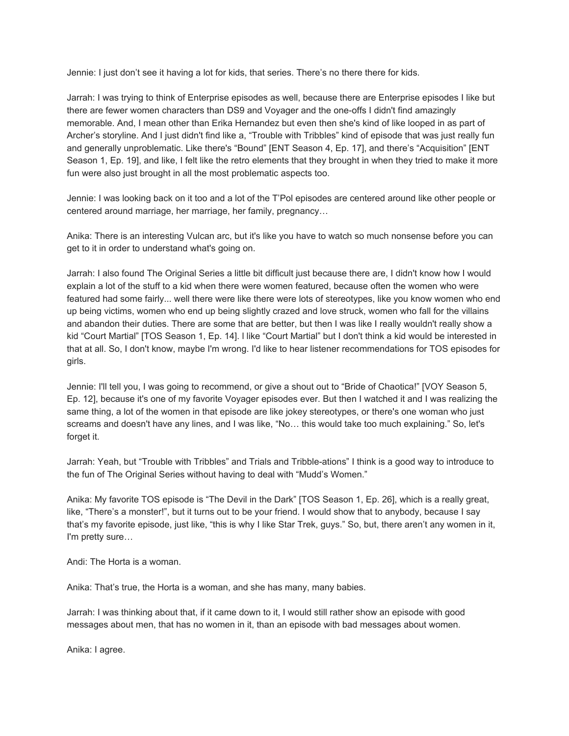Jennie: I just don't see it having a lot for kids, that series. There's no there there for kids.

Jarrah: I was trying to think of Enterprise episodes as well, because there are Enterprise episodes I like but there are fewer women characters than DS9 and Voyager and the one-offs I didn't find amazingly memorable. And, I mean other than Erika Hernandez but even then she's kind of like looped in as part of Archer's storyline. And I just didn't find like a, "Trouble with Tribbles" kind of episode that was just really fun and generally unproblematic. Like there's "Bound" [ENT Season 4, Ep. 17], and there's "Acquisition" [ENT Season 1, Ep. 19], and like, I felt like the retro elements that they brought in when they tried to make it more fun were also just brought in all the most problematic aspects too.

Jennie: I was looking back on it too and a lot of the T'Pol episodes are centered around like other people or centered around marriage, her marriage, her family, pregnancy…

Anika: There is an interesting Vulcan arc, but it's like you have to watch so much nonsense before you can get to it in order to understand what's going on.

Jarrah: I also found The Original Series a little bit difficult just because there are, I didn't know how I would explain a lot of the stuff to a kid when there were women featured, because often the women who were featured had some fairly... well there were like there were lots of stereotypes, like you know women who end up being victims, women who end up being slightly crazed and love struck, women who fall for the villains and abandon their duties. There are some that are better, but then I was like I really wouldn't really show a kid "Court Martial" [TOS Season 1, Ep. 14]. l like "Court Martial" but I don't think a kid would be interested in that at all. So, I don't know, maybe I'm wrong. I'd like to hear listener recommendations for TOS episodes for girls.

Jennie: I'll tell you, I was going to recommend, or give a shout out to "Bride of Chaotica!" [VOY Season 5, Ep. 12], because it's one of my favorite Voyager episodes ever. But then I watched it and I was realizing the same thing, a lot of the women in that episode are like jokey stereotypes, or there's one woman who just screams and doesn't have any lines, and I was like, "No… this would take too much explaining." So, let's forget it.

Jarrah: Yeah, but "Trouble with Tribbles" and Trials and Tribble-ations" I think is a good way to introduce to the fun of The Original Series without having to deal with "Mudd's Women."

Anika: My favorite TOS episode is "The Devil in the Dark" [TOS Season 1, Ep. 26], which is a really great, like, "There's a monster!", but it turns out to be your friend. I would show that to anybody, because I say that's my favorite episode, just like, "this is why I like Star Trek, guys." So, but, there aren't any women in it, I'm pretty sure…

Andi: The Horta is a woman.

Anika: That's true, the Horta is a woman, and she has many, many babies.

Jarrah: I was thinking about that, if it came down to it, I would still rather show an episode with good messages about men, that has no women in it, than an episode with bad messages about women.

Anika: I agree.